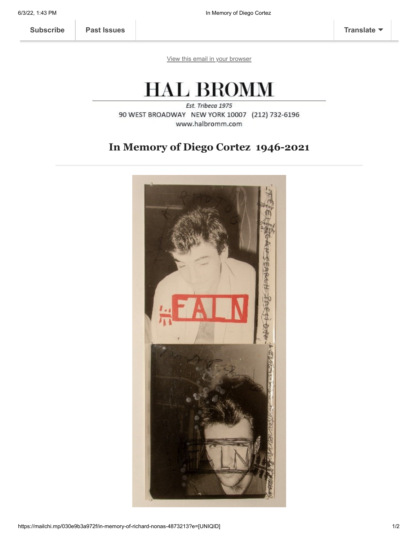[View this email in your browser](https://mailchi.mp/030e9b3a972f/in-memory-of-richard-nonas-4873213?e=[UNIQID])

## **HAL BROMM**

Est. Tribeca 1975 90 WEST BROADWAY NEW YORK 10007 (212) 732-6196 www.halbromm.com

## **In Memory of Diego Cortez 1946-2021**